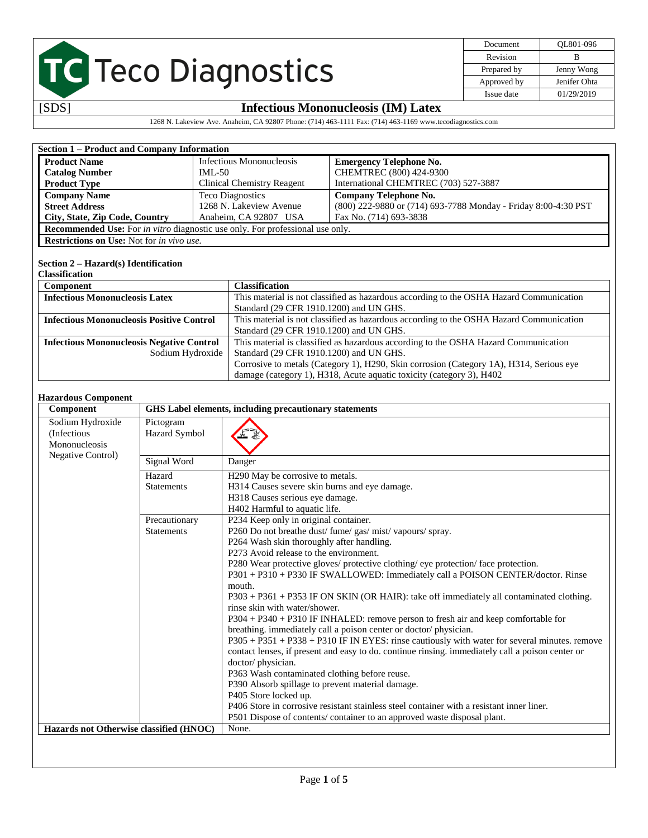| Document    | OL801-096    |
|-------------|--------------|
| Revision    | в            |
| Prepared by | Jenny Wong   |
| Approved by | Jenifer Ohta |
| Issue date  | 01/29/2019   |

## [SDS] **Infectious Mononucleosis (IM) Latex**

1268 N. Lakeview Ave. Anaheim, CA 92807 Phone: (714) 463-1111 Fax: (714) 463-1169 www.tecodiagnostics.com

| Section 1 – Product and Company Information                                                                                      |                                                                                                                                             |                                                                                     |                                                                |  |
|----------------------------------------------------------------------------------------------------------------------------------|---------------------------------------------------------------------------------------------------------------------------------------------|-------------------------------------------------------------------------------------|----------------------------------------------------------------|--|
|                                                                                                                                  |                                                                                                                                             |                                                                                     |                                                                |  |
| <b>Product Name</b>                                                                                                              |                                                                                                                                             | Infectious Mononucleosis                                                            | <b>Emergency Telephone No.</b>                                 |  |
| <b>Catalog Number</b>                                                                                                            | $IML-50$                                                                                                                                    |                                                                                     | CHEMTREC (800) 424-9300                                        |  |
| <b>Product Type</b>                                                                                                              | <b>Clinical Chemistry Reagent</b>                                                                                                           |                                                                                     | International CHEMTREC (703) 527-3887                          |  |
| <b>Company Name</b>                                                                                                              |                                                                                                                                             | <b>Teco Diagnostics</b>                                                             | <b>Company Telephone No.</b>                                   |  |
| <b>Street Address</b>                                                                                                            |                                                                                                                                             | 1268 N. Lakeview Avenue                                                             | (800) 222-9880 or (714) 693-7788 Monday - Friday 8:00-4:30 PST |  |
| City, State, Zip Code, Country                                                                                                   |                                                                                                                                             | Anaheim, CA 92807 USA                                                               | Fax No. (714) 693-3838                                         |  |
|                                                                                                                                  | Recommended Use: For in vitro diagnostic use only. For professional use only.                                                               |                                                                                     |                                                                |  |
| <b>Restrictions on Use:</b> Not for in vivo use.                                                                                 |                                                                                                                                             |                                                                                     |                                                                |  |
|                                                                                                                                  |                                                                                                                                             |                                                                                     |                                                                |  |
| Section $2 - Hazard(s)$ Identification                                                                                           |                                                                                                                                             |                                                                                     |                                                                |  |
| <b>Classification</b>                                                                                                            |                                                                                                                                             |                                                                                     |                                                                |  |
| <b>Classification</b><br>Component                                                                                               |                                                                                                                                             |                                                                                     |                                                                |  |
| This material is not classified as hazardous according to the OSHA Hazard Communication<br><b>Infectious Mononucleosis Latex</b> |                                                                                                                                             |                                                                                     |                                                                |  |
|                                                                                                                                  |                                                                                                                                             | Standard (29 CFR 1910.1200) and UN GHS.                                             |                                                                |  |
|                                                                                                                                  | <b>Infectious Mononucleosis Positive Control</b><br>This material is not classified as hazardous according to the OSHA Hazard Communication |                                                                                     |                                                                |  |
|                                                                                                                                  |                                                                                                                                             | Standard (29 CFR 1910.1200) and UN GHS.                                             |                                                                |  |
| <b>Infectious Mononucleosis Negative Control</b>                                                                                 |                                                                                                                                             | This material is classified as hazardous according to the OSHA Hazard Communication |                                                                |  |
| Sodium Hydroxide                                                                                                                 |                                                                                                                                             | Standard (29 CFR 1910.1200) and UN GHS.                                             |                                                                |  |
|                                                                                                                                  |                                                                                                                                             |                                                                                     |                                                                |  |

## Corrosive to metals (Category 1), H290, Skin corrosion (Category 1A), H314, Serious eye damage (category 1), H318, Acute aquatic toxicity (category 3), H402

#### **Hazardous Component**

| Component                                                                    |                                    | GHS Label elements, including precautionary statements                                                                                                                                                                                                                                                                                                                                                                                                                                                                                                                                                                                                                                                                                                                                                                                                                                                                                                                                                                                                                                                                                                                                            |  |  |
|------------------------------------------------------------------------------|------------------------------------|---------------------------------------------------------------------------------------------------------------------------------------------------------------------------------------------------------------------------------------------------------------------------------------------------------------------------------------------------------------------------------------------------------------------------------------------------------------------------------------------------------------------------------------------------------------------------------------------------------------------------------------------------------------------------------------------------------------------------------------------------------------------------------------------------------------------------------------------------------------------------------------------------------------------------------------------------------------------------------------------------------------------------------------------------------------------------------------------------------------------------------------------------------------------------------------------------|--|--|
| Sodium Hydroxide<br>(Infectious<br>Mononucleosis<br><b>Negative Control)</b> | Pictogram<br>Hazard Symbol         |                                                                                                                                                                                                                                                                                                                                                                                                                                                                                                                                                                                                                                                                                                                                                                                                                                                                                                                                                                                                                                                                                                                                                                                                   |  |  |
|                                                                              | Signal Word                        | Danger                                                                                                                                                                                                                                                                                                                                                                                                                                                                                                                                                                                                                                                                                                                                                                                                                                                                                                                                                                                                                                                                                                                                                                                            |  |  |
|                                                                              | Hazard<br><b>Statements</b>        | H <sub>290</sub> May be corrosive to metals.<br>H314 Causes severe skin burns and eye damage.<br>H318 Causes serious eye damage.<br>H402 Harmful to aquatic life.                                                                                                                                                                                                                                                                                                                                                                                                                                                                                                                                                                                                                                                                                                                                                                                                                                                                                                                                                                                                                                 |  |  |
|                                                                              | Precautionary<br><b>Statements</b> | P234 Keep only in original container.<br>P260 Do not breathe dust/fume/gas/mist/vapours/spray.<br>P264 Wash skin thoroughly after handling.<br>P273 Avoid release to the environment.<br>P280 Wear protective gloves/ protective clothing/ eye protection/ face protection.<br>P301 + P310 + P330 IF SWALLOWED: Immediately call a POISON CENTER/doctor. Rinse<br>mouth.<br>$P303 + P361 + P353$ IF ON SKIN (OR HAIR): take off immediately all contaminated clothing.<br>rinse skin with water/shower.<br>P304 + P340 + P310 IF INHALED: remove person to fresh air and keep comfortable for<br>breathing. immediately call a poison center or doctor/physician.<br>P305 + P351 + P338 + P310 IF IN EYES: rinse cautiously with water for several minutes. remove<br>contact lenses, if present and easy to do. continue ringing, immediately call a poison center or<br>doctor/physician.<br>P363 Wash contaminated clothing before reuse.<br>P390 Absorb spillage to prevent material damage.<br>P405 Store locked up.<br>P406 Store in corrosive resistant stainless steel container with a resistant inner liner.<br>P501 Dispose of contents/container to an approved waste disposal plant. |  |  |
| Hazards not Otherwise classified (HNOC)                                      |                                    | None.                                                                                                                                                                                                                                                                                                                                                                                                                                                                                                                                                                                                                                                                                                                                                                                                                                                                                                                                                                                                                                                                                                                                                                                             |  |  |
|                                                                              |                                    |                                                                                                                                                                                                                                                                                                                                                                                                                                                                                                                                                                                                                                                                                                                                                                                                                                                                                                                                                                                                                                                                                                                                                                                                   |  |  |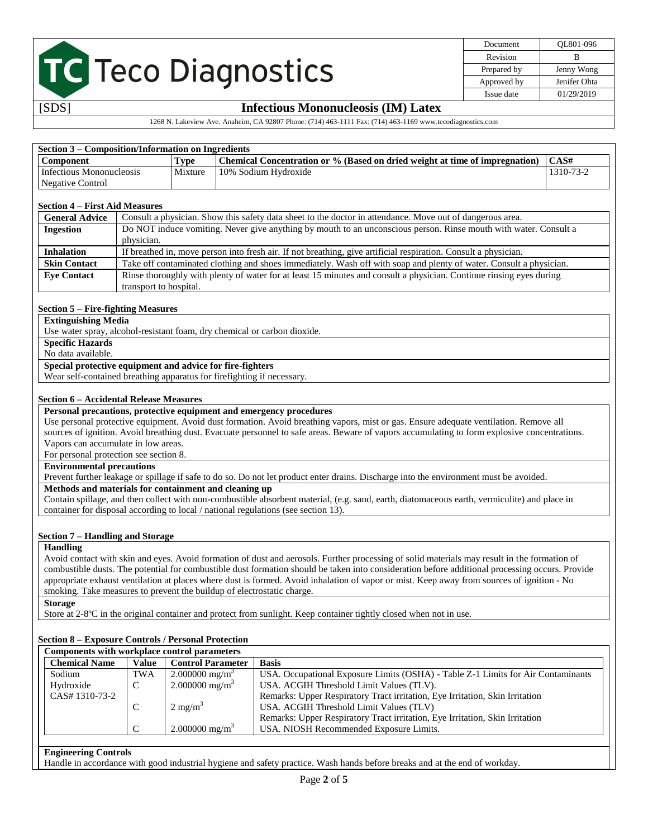| Document    | OL801-096    |
|-------------|--------------|
| Revision    | R            |
| Prepared by | Jenny Wong   |
| Approved by | Jenifer Ohta |
| Issue date  | 01/29/2019   |

## [SDS] **Infectious Mononucleosis (IM) Latex**

1268 N. Lakeview Ave. Anaheim, CA 92807 Phone: (714) 463-1111 Fax: (714) 463-1169 www.tecodiagnostics.com

| Section 3 – Composition/Information on Ingredients |         |                                                                             |                   |  |
|----------------------------------------------------|---------|-----------------------------------------------------------------------------|-------------------|--|
| <b>Component</b>                                   | Type    | Chemical Concentration or % (Based on dried weight at time of impregnation) | $\mathsf{ICAS}$ # |  |
| Infectious Mononucleosis                           | Mixture | 10% Sodium Hydroxide                                                        | 1310-73-2         |  |
| Negative Control                                   |         |                                                                             |                   |  |

#### **Section 4 – First Aid Measures**

| <b>General Advice</b> | Consult a physician. Show this safety data sheet to the doctor in attendance. Move out of dangerous area.           |  |  |
|-----------------------|---------------------------------------------------------------------------------------------------------------------|--|--|
| <b>Ingestion</b>      | Do NOT induce vomiting. Never give anything by mouth to an unconscious person. Rinse mouth with water. Consult a    |  |  |
|                       | physician.                                                                                                          |  |  |
| <b>Inhalation</b>     | If breathed in, move person into fresh air. If not breathing, give artificial respiration. Consult a physician.     |  |  |
| <b>Skin Contact</b>   | Take off contaminated clothing and shoes immediately. Wash off with soap and plenty of water. Consult a physician.  |  |  |
| <b>Eve Contact</b>    | Rinse thoroughly with plenty of water for at least 15 minutes and consult a physician. Continue ringing eyes during |  |  |
|                       | transport to hospital.                                                                                              |  |  |

#### **Section 5 – Fire-fighting Measures**

**Extinguishing Media**

Use water spray, alcohol-resistant foam, dry chemical or carbon dioxide.

**Specific Hazards**

No data available.

**Special protective equipment and advice for fire-fighters**

Wear self-contained breathing apparatus for firefighting if necessary.

### **Section 6 – Accidental Release Measures**

### **Personal precautions, protective equipment and emergency procedures**

Use personal protective equipment. Avoid dust formation. Avoid breathing vapors, mist or gas. Ensure adequate ventilation. Remove all sources of ignition. Avoid breathing dust. Evacuate personnel to safe areas. Beware of vapors accumulating to form explosive concentrations. Vapors can accumulate in low areas.

For personal protection see section 8.

#### **Environmental precautions**

Prevent further leakage or spillage if safe to do so. Do not let product enter drains. Discharge into the environment must be avoided.

### **Methods and materials for containment and cleaning up**

Contain spillage, and then collect with non-combustible absorbent material, (e.g. sand, earth, diatomaceous earth, vermiculite) and place in container for disposal according to local / national regulations (see section 13).

### **Section 7 – Handling and Storage**

#### **Handling**

Avoid contact with skin and eyes. Avoid formation of dust and aerosols. Further processing of solid materials may result in the formation of combustible dusts. The potential for combustible dust formation should be taken into consideration before additional processing occurs. Provide appropriate exhaust ventilation at places where dust is formed. Avoid inhalation of vapor or mist. Keep away from sources of ignition - No smoking. Take measures to prevent the buildup of electrostatic charge.

**Storage**

Store at 2-8ºC in the original container and protect from sunlight. Keep container tightly closed when not in use.

### **Section 8 – Exposure Controls / Personal Protection**

| <b>Components with workplace control parameters</b> |              |                              |                                                                                  |
|-----------------------------------------------------|--------------|------------------------------|----------------------------------------------------------------------------------|
| <b>Chemical Name</b>                                | <b>Value</b> | <b>Control Parameter</b>     | <b>Basis</b>                                                                     |
| Sodium                                              | <b>TWA</b>   | $2.000000$ mg/m <sup>3</sup> | USA. Occupational Exposure Limits (OSHA) - Table Z-1 Limits for Air Contaminants |
| Hydroxide                                           | C            | 2.000000 mg/m <sup>3</sup>   | USA. ACGIH Threshold Limit Values (TLV).                                         |
| CAS# 1310-73-2                                      |              |                              | Remarks: Upper Respiratory Tract irritation, Eye Irritation, Skin Irritation     |
|                                                     | C            | $2 \text{ mg/m}^3$           | USA. ACGIH Threshold Limit Values (TLV)                                          |
|                                                     |              |                              | Remarks: Upper Respiratory Tract irritation, Eye Irritation, Skin Irritation     |
|                                                     | C            | $2.000000$ mg/m <sup>3</sup> | USA. NIOSH Recommended Exposure Limits.                                          |
|                                                     |              |                              |                                                                                  |

#### **Engineering Controls**

Handle in accordance with good industrial hygiene and safety practice. Wash hands before breaks and at the end of workday.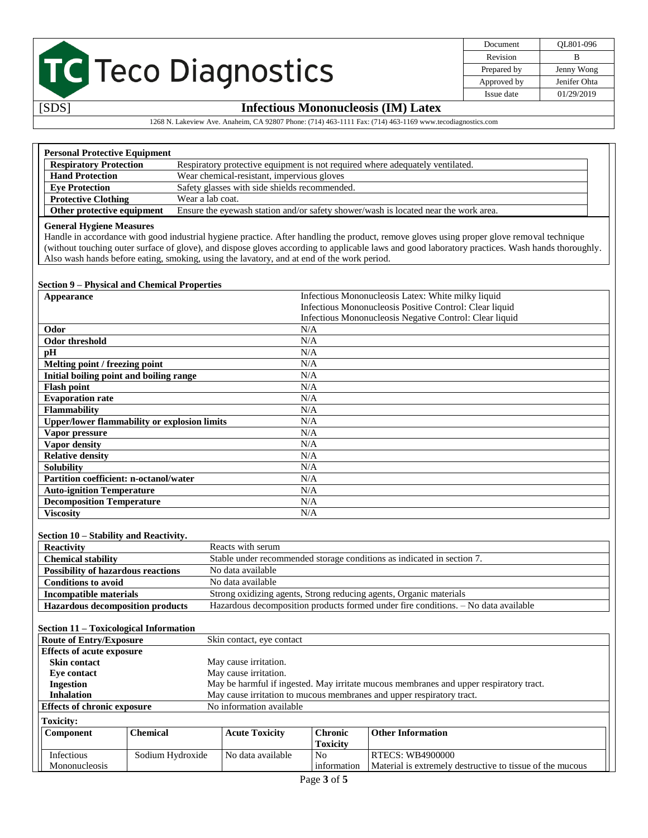| Document    | OL801-096    |
|-------------|--------------|
| Revision    | в            |
| Prepared by | Jenny Wong   |
| Approved by | Jenifer Ohta |
| Issue date  | 01/29/2019   |

## [SDS] **Infectious Mononucleosis (IM) Latex**

## 1268 N. Lakeview Ave. Anaheim, CA 92807 Phone: (714) 463-1111 Fax: (714) 463-1169 www.tecodiagnostics.com

| <b>Personal Protective Equipment</b> |                                                                                     |  |
|--------------------------------------|-------------------------------------------------------------------------------------|--|
| <b>Respiratory Protection</b>        | Respiratory protective equipment is not required where adequately ventilated.       |  |
| <b>Hand Protection</b>               | Wear chemical-resistant, impervious gloves                                          |  |
| <b>Eve Protection</b>                | Safety glasses with side shields recommended.                                       |  |
| <b>Protective Clothing</b>           | Wear a lab coat.                                                                    |  |
| Other protective equipment           | Ensure the eyewash station and/or safety shower/wash is located near the work area. |  |

#### **General Hygiene Measures**

Handle in accordance with good industrial hygiene practice. After handling the product, remove gloves using proper glove removal technique (without touching outer surface of glove), and dispose gloves according to applicable laws and good laboratory practices. Wash hands thoroughly. Also wash hands before eating, smoking, using the lavatory, and at end of the work period.

#### **Section 9 – Physical and Chemical Properties**

| Appearance                                          | Infectious Mononucleosis Latex: White milky liquid      |
|-----------------------------------------------------|---------------------------------------------------------|
|                                                     | Infectious Mononucleosis Positive Control: Clear liquid |
|                                                     | Infectious Mononucleosis Negative Control: Clear liquid |
| Odor                                                | N/A                                                     |
| Odor threshold                                      | N/A                                                     |
| pH                                                  | N/A                                                     |
| Melting point / freezing point                      | N/A                                                     |
| Initial boiling point and boiling range             | N/A                                                     |
| <b>Flash point</b>                                  | N/A                                                     |
| <b>Evaporation rate</b>                             | N/A                                                     |
| <b>Flammability</b>                                 | N/A                                                     |
| <b>Upper/lower flammability or explosion limits</b> | N/A                                                     |
| Vapor pressure                                      | N/A                                                     |
| Vapor density                                       | N/A                                                     |
| <b>Relative density</b>                             | N/A                                                     |
| <b>Solubility</b>                                   | N/A                                                     |
| Partition coefficient: n-octanol/water              | N/A                                                     |
| <b>Auto-ignition Temperature</b>                    | N/A                                                     |
| <b>Decomposition Temperature</b>                    | N/A                                                     |
| <b>Viscosity</b>                                    | N/A                                                     |

#### **Section 10 – Stability and Reactivity.**

| <b>Reactivity</b>                         | Reacts with serum                                                                  |
|-------------------------------------------|------------------------------------------------------------------------------------|
| <b>Chemical stability</b>                 | Stable under recommended storage conditions as indicated in section 7.             |
| <b>Possibility of hazardous reactions</b> | No data available                                                                  |
| <b>Conditions to avoid</b>                | No data available                                                                  |
| Incompatible materials                    | Strong oxidizing agents, Strong reducing agents, Organic materials                 |
| <b>Hazardous decomposition products</b>   | Hazardous decomposition products formed under fire conditions. - No data available |

#### **Section 11 – Toxicological Information Route of Entry/Exposure** Skin contact, eye contact

| Route of Entry/Exposure          |                                                                | SKIII COMACI, EVE COMACI |                 |                                                                                        |  |
|----------------------------------|----------------------------------------------------------------|--------------------------|-----------------|----------------------------------------------------------------------------------------|--|
| <b>Effects of acute exposure</b> |                                                                |                          |                 |                                                                                        |  |
| <b>Skin contact</b>              |                                                                | May cause irritation.    |                 |                                                                                        |  |
| Eye contact                      |                                                                | May cause irritation.    |                 |                                                                                        |  |
| Ingestion                        |                                                                |                          |                 | May be harmful if ingested. May irritate mucous membranes and upper respiratory tract. |  |
| <b>Inhalation</b>                |                                                                |                          |                 | May cause irritation to mucous membranes and upper respiratory tract.                  |  |
|                                  | No information available<br><b>Effects of chronic exposure</b> |                          |                 |                                                                                        |  |
| <b>Toxicity:</b>                 |                                                                |                          |                 |                                                                                        |  |
| <b>Component</b>                 | <b>Chemical</b>                                                | <b>Acute Toxicity</b>    | <b>Chronic</b>  | <b>Other Information</b>                                                               |  |
|                                  |                                                                |                          | <b>Toxicity</b> |                                                                                        |  |
| Infectious                       | Sodium Hydroxide                                               | No data available        | N <sub>o</sub>  | <b>RTECS: WB4900000</b>                                                                |  |
| Mononucleosis                    |                                                                |                          | information     | Material is extremely destructive to tissue of the mucous                              |  |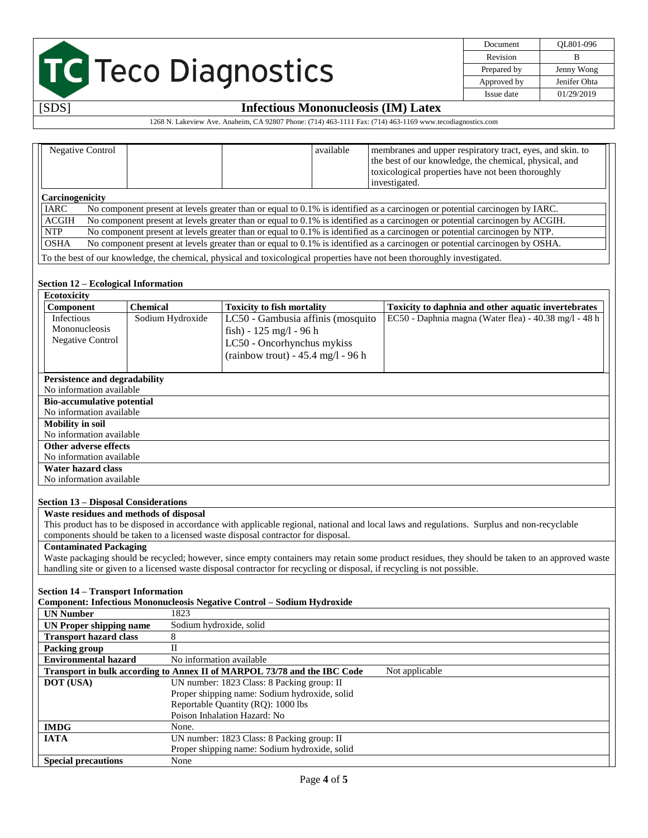| Document    | OL801-096    |
|-------------|--------------|
| Revision    | в            |
| Prepared by | Jenny Wong   |
| Approved by | Jenifer Ohta |
| Issue date  | 01/29/2019   |

# [SDS] **Infectious Mononucleosis (IM) Latex**

1268 N. Lakeview Ave. Anaheim, CA 92807 Phone: (714) 463-1111 Fax: (714) 463-1169 www.tecodiagnostics.com

|                 | Negative Control |                                     | available | membranes and upper respiratory tract, eyes, and skin. to<br>the best of our knowledge, the chemical, physical, and<br>toxicological properties have not been thoroughly<br>investigated. |
|-----------------|------------------|-------------------------------------|-----------|-------------------------------------------------------------------------------------------------------------------------------------------------------------------------------------------|
| Carcinogenicity |                  |                                     |           |                                                                                                                                                                                           |
| IARC            |                  |                                     |           | No component present at levels greater than or equal to 0.1% is identified as a carcinogen or potential carcinogen by IARC.                                                               |
| <b>ACGIH</b>    |                  |                                     |           | No component present at levels greater than or equal to 0.1% is identified as a carcinogen or potential carcinogen by ACGIH.                                                              |
| <b>NTP</b>      |                  |                                     |           | No component present at levels greater than or equal to 0.1% is identified as a carcinogen or potential carcinogen by NTP.                                                                |
| <b>OSHA</b>     |                  |                                     |           | No component present at levels greater than or equal to 0.1% is identified as a carcinogen or potential carcinogen by OSHA.                                                               |
|                 |                  |                                     |           | To the best of our knowledge, the chemical, physical and toxicological properties have not been thoroughly investigated.                                                                  |
|                 |                  | Section 12 – Ecological Information |           |                                                                                                                                                                                           |

| <b>Ecotoxicity</b>                          |                                        |                                                                                                                         |                                                                                                                                                 |
|---------------------------------------------|----------------------------------------|-------------------------------------------------------------------------------------------------------------------------|-------------------------------------------------------------------------------------------------------------------------------------------------|
| Component                                   | <b>Chemical</b>                        | <b>Toxicity to fish mortality</b>                                                                                       | Toxicity to daphnia and other aquatic invertebrates                                                                                             |
| Infectious                                  | Sodium Hydroxide                       | LC50 - Gambusia affinis (mosquito                                                                                       | EC50 - Daphnia magna (Water flea) - 40.38 mg/l - 48 h                                                                                           |
| Mononucleosis                               |                                        | fish) - $125 \text{ mg/l}$ - 96 h                                                                                       |                                                                                                                                                 |
| <b>Negative Control</b>                     |                                        | LC50 - Oncorhynchus mykiss                                                                                              |                                                                                                                                                 |
|                                             |                                        | $(rainbow trout) - 45.4 mg/l - 96 h$                                                                                    |                                                                                                                                                 |
|                                             |                                        |                                                                                                                         |                                                                                                                                                 |
| <b>Persistence and degradability</b>        |                                        |                                                                                                                         |                                                                                                                                                 |
| No information available                    |                                        |                                                                                                                         |                                                                                                                                                 |
| <b>Bio-accumulative potential</b>           |                                        |                                                                                                                         |                                                                                                                                                 |
| No information available                    |                                        |                                                                                                                         |                                                                                                                                                 |
| <b>Mobility in soil</b>                     |                                        |                                                                                                                         |                                                                                                                                                 |
| No information available                    |                                        |                                                                                                                         |                                                                                                                                                 |
| Other adverse effects                       |                                        |                                                                                                                         |                                                                                                                                                 |
| No information available                    |                                        |                                                                                                                         |                                                                                                                                                 |
| Water hazard class                          |                                        |                                                                                                                         |                                                                                                                                                 |
| No information available                    |                                        |                                                                                                                         |                                                                                                                                                 |
|                                             |                                        |                                                                                                                         |                                                                                                                                                 |
| <b>Section 13 – Disposal Considerations</b> |                                        |                                                                                                                         |                                                                                                                                                 |
|                                             | Waste residues and methods of disposal |                                                                                                                         |                                                                                                                                                 |
|                                             |                                        |                                                                                                                         | This product has to be disposed in accordance with applicable regional, national and local laws and regulations. Surplus and non-recyclable     |
|                                             |                                        | components should be taken to a licensed waste disposal contractor for disposal.                                        |                                                                                                                                                 |
| <b>Contaminated Packaging</b>               |                                        |                                                                                                                         |                                                                                                                                                 |
|                                             |                                        |                                                                                                                         | Waste packaging should be recycled; however, since empty containers may retain some product residues, they should be taken to an approved waste |
|                                             |                                        | handling site or given to a licensed waste disposal contractor for recycling or disposal, if recycling is not possible. |                                                                                                                                                 |
|                                             |                                        |                                                                                                                         |                                                                                                                                                 |
| <b>Section 14 – Transport Information</b>   |                                        |                                                                                                                         |                                                                                                                                                 |
|                                             |                                        | Component: Infectious Mononucleosis Negative Control - Sodium Hydroxide                                                 |                                                                                                                                                 |

| <b>UN Number</b>              | 1823                                                                                       |
|-------------------------------|--------------------------------------------------------------------------------------------|
| UN Proper shipping name       | Sodium hydroxide, solid                                                                    |
| <b>Transport hazard class</b> |                                                                                            |
| Packing group                 | П                                                                                          |
| <b>Environmental hazard</b>   | No information available                                                                   |
|                               | Not applicable<br>Transport in bulk according to Annex II of MARPOL 73/78 and the IBC Code |
| <b>DOT</b> (USA)              | UN number: 1823 Class: 8 Packing group: II                                                 |
|                               | Proper shipping name: Sodium hydroxide, solid                                              |
|                               | Reportable Quantity (RQ): 1000 lbs                                                         |
|                               | Poison Inhalation Hazard: No                                                               |
| <b>IMDG</b>                   | None.                                                                                      |
| <b>IATA</b>                   | UN number: 1823 Class: 8 Packing group: II                                                 |
|                               | Proper shipping name: Sodium hydroxide, solid                                              |
| <b>Special precautions</b>    | None                                                                                       |